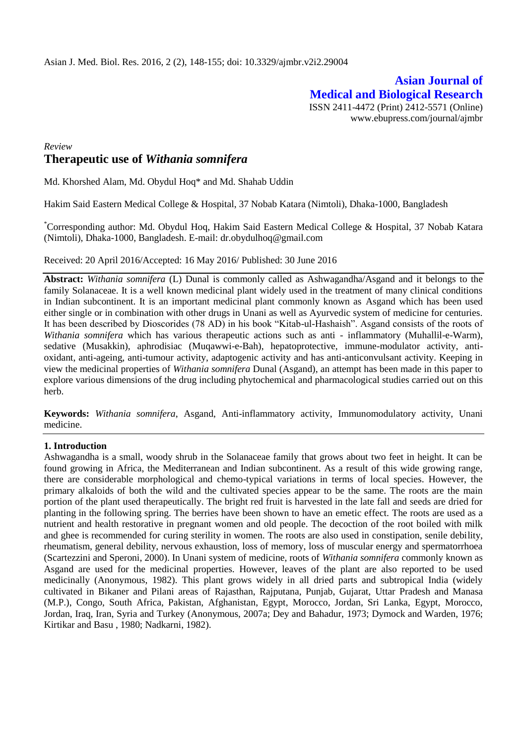**Asian Journal of Medical and Biological Research** ISSN 2411-4472 (Print) 2412-5571 (Online) www.ebupress.com/journal/ajmbr

# *Review* **Therapeutic use of** *Withania somnifera*

Md. Khorshed Alam, Md. Obydul Hoq\* and Md. Shahab Uddin

Hakim Said Eastern Medical College & Hospital, 37 Nobab Katara (Nimtoli), Dhaka-1000, Bangladesh

\*Corresponding author: Md. Obydul Hoq, Hakim Said Eastern Medical College & Hospital, 37 Nobab Katara (Nimtoli), Dhaka-1000, Bangladesh. E-mail: [dr.obydulhoq@gmail.com](mailto:dr.obydulhoq@gmail.com)

Received: 20 April 2016/Accepted: 16 May 2016/ Published: 30 June 2016

**Abstract:** *Withania somnifera* (L) Dunal is commonly called as Ashwagandha/Asgand and it belongs to the family Solanaceae. It is a well known medicinal plant widely used in the treatment of many clinical conditions in Indian subcontinent. It is an important medicinal plant commonly known as Asgand which has been used either single or in combination with other drugs in Unani as well as Ayurvedic system of medicine for centuries. It has been described by Dioscorides (78 AD) in his book "Kitab-ul-Hashaish". Asgand consists of the roots of *Withania somnifera* which has various therapeutic actions such as anti - inflammatory (Muhallil-e-Warm), sedative (Musakkin), aphrodisiac (Muqawwi-e-Bah), hepatoprotective, immune-modulator activity, antioxidant, anti-ageing, anti-tumour activity, adaptogenic activity and has anti-anticonvulsant activity. Keeping in view the medicinal properties of *Withania somnifera* Dunal (Asgand), an attempt has been made in this paper to explore various dimensions of the drug including phytochemical and pharmacological studies carried out on this herb.

**Keywords:** *Withania somnifera*, Asgand, Anti-inflammatory activity, Immunomodulatory activity, Unani medicine.

### **1. Introduction**

Ashwagandha is a small, woody shrub in the Solanaceae family that grows about two feet in height. It can be found growing in Africa, the Mediterranean and Indian subcontinent. As a result of this wide growing range, there are considerable morphological and chemo-typical variations in terms of local species. However, the primary alkaloids of both the wild and the cultivated species appear to be the same. The roots are the main portion of the plant used therapeutically. The bright red fruit is harvested in the late fall and seeds are dried for planting in the following spring. The berries have been shown to have an emetic effect. The roots are used as a nutrient and health restorative in pregnant women and old people. The decoction of the root boiled with milk and ghee is recommended for curing sterility in women. The roots are also used in constipation, senile debility, rheumatism, general debility, nervous exhaustion, loss of memory, loss of muscular energy and spermatorrhoea (Scartezzini and Speroni, 2000). In Unani system of medicine, roots of *Withania somnifera* commonly known as Asgand are used for the medicinal properties. However, leaves of the plant are also reported to be used medicinally (Anonymous, 1982). This plant grows widely in all dried parts and subtropical India (widely cultivated in Bikaner and Pilani areas of Rajasthan, Rajputana, Punjab, Gujarat, Uttar Pradesh and Manasa (M.P.), Congo, South Africa, Pakistan, Afghanistan, Egypt, Morocco, Jordan, Sri Lanka, Egypt, Morocco, Jordan, Iraq, Iran, Syria and Turkey (Anonymous, 2007a; Dey and Bahadur, 1973; Dymock and Warden, 1976; Kirtikar and Basu , 1980; Nadkarni, 1982).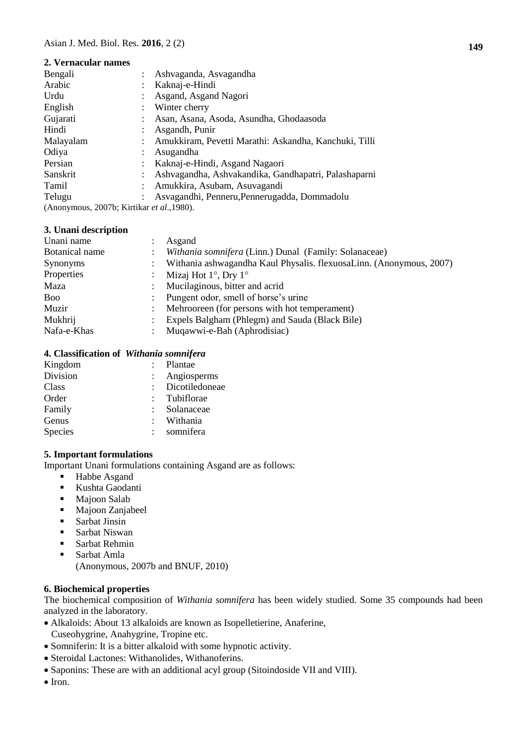# **2. Vernacular names**

| Bengali                                    |  | Ashvaganda, Asvagandha                                |  |  |  |
|--------------------------------------------|--|-------------------------------------------------------|--|--|--|
| Arabic                                     |  | Kaknaj-e-Hindi                                        |  |  |  |
| Urdu                                       |  | Asgand, Asgand Nagori                                 |  |  |  |
| English                                    |  | Winter cherry                                         |  |  |  |
| Gujarati                                   |  | Asan, Asana, Asoda, Asundha, Ghodaasoda               |  |  |  |
| Hindi                                      |  | Asgandh, Punir                                        |  |  |  |
| Malayalam                                  |  | Amukkiram, Pevetti Marathi: Askandha, Kanchuki, Tilli |  |  |  |
| Odiya                                      |  | Asugandha                                             |  |  |  |
| Persian                                    |  | Kaknaj-e-Hindi, Asgand Nagaori                        |  |  |  |
| Sanskrit                                   |  | Ashvagandha, Ashvakandika, Gandhapatri, Palashaparni  |  |  |  |
| Tamil                                      |  | Amukkira, Asubam, Asuvagandi                          |  |  |  |
| Telugu                                     |  | Asvagandhi, Penneru, Pennerugadda, Dommadolu          |  |  |  |
| (Anonymous, 2007b; Kirtikar et al., 1980). |  |                                                       |  |  |  |

## **3. Unani description**

| Unani name     | Asgand                                                              |
|----------------|---------------------------------------------------------------------|
| Botanical name | Withania somnifera (Linn.) Dunal (Family: Solanaceae)               |
| Synonyms       | Withania ashwagandha Kaul Physalis. flexuosaLinn. (Anonymous, 2007) |
| Properties     | Mizaj Hot $1^{\circ}$ , Dry $1^{\circ}$                             |
| Maza           | Mucilaginous, bitter and acrid                                      |
| <b>Boo</b>     | Pungent odor, smell of horse's urine                                |
| Muzir          | Mehrooreen (for persons with hot temperament)                       |
| Mukhrij        | Expels Balgham (Phlegm) and Sauda (Black Bile)                      |
| Nafa-e-Khas    | Muqawwi-e-Bah (Aphrodisiac)                                         |

## **4. Classification of** *Withania somnifera*

| Kingdom  | : Plantae      |
|----------|----------------|
| Division | Angiosperms    |
| Class    | Dicotiledoneae |
| Order    | : Tubiflorae   |
| Family   | Solanaceae     |
| Genus    | : Withania     |
| Species  | somnifera      |

# **5. Important formulations**

Important Unani formulations containing Asgand are as follows:

- Habbe Asgand
- Kushta Gaodanti
- **Majoon Salab**
- **Majoon Zanjabeel**
- Sarbat Jinsin
- Sarbat Niswan
- **Sarbat Rehmin**
- **Sarbat Amla**

(Anonymous, 2007b and BNUF, 2010)

# **6. Biochemical properties**

The biochemical composition of *Withania somnifera* has been widely studied. Some 35 compounds had been analyzed in the laboratory.

- Alkaloids: About 13 alkaloids are known as Isopelletierine, Anaferine, Cuseohygrine, Anahygrine, Tropine etc.
- Somniferin: It is a bitter alkaloid with some hypnotic activity.
- Steroidal Lactones: Withanolides, Withanoferins.
- Saponins: These are with an additional acyl group (Sitoindoside VII and VIII).
- Iron.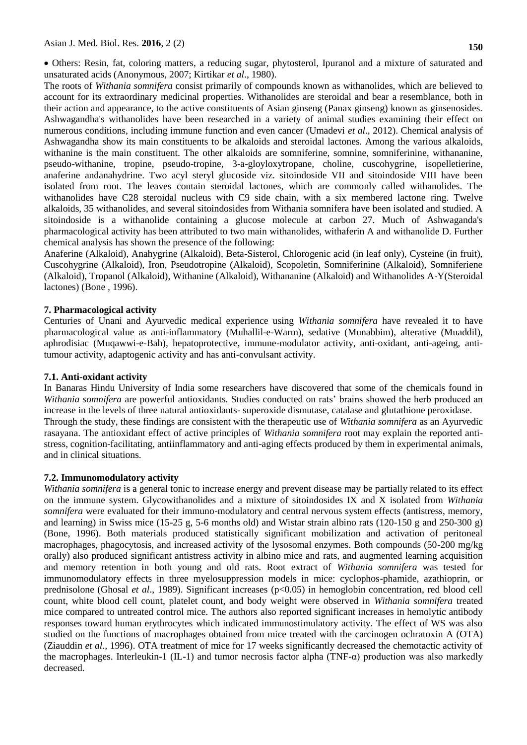Others: Resin, fat, coloring matters, a reducing sugar, phytosterol, Ipuranol and a mixture of saturated and unsaturated acids (Anonymous, 2007; Kirtikar *et al*., 1980).

The roots of *Withania somnifera* consist primarily of compounds known as withanolides, which are believed to account for its extraordinary medicinal properties. Withanolides are steroidal and bear a resemblance, both in their action and appearance, to the active constituents of Asian ginseng (Panax ginseng) known as ginsenosides. Ashwagandha's withanolides have been researched in a variety of animal studies examining their effect on numerous conditions, including immune function and even cancer (Umadevi *et al*., 2012). Chemical analysis of Ashwagandha show its main constituents to be alkaloids and steroidal lactones. Among the various alkaloids, withanine is the main constituent. The other alkaloids are somniferine, somnine, somniferinine, withananine, pseudo-withanine, tropine, pseudo-tropine, 3-a-gloyloxytropane, choline, cuscohygrine, isopelletierine, anaferine andanahydrine. Two acyl steryl glucoside viz. sitoindoside VII and sitoindoside VIII have been isolated from root. The leaves contain steroidal lactones, which are commonly called withanolides. The withanolides have C28 steroidal nucleus with C9 side chain, with a six membered lactone ring. Twelve alkaloids, 35 withanolides, and several sitoindosides from Withania somnifera have been isolated and studied. A sitoindoside is a withanolide containing a glucose molecule at carbon 27. Much of Ashwaganda's pharmacological activity has been attributed to two main withanolides, withaferin A and withanolide D. Further chemical analysis has shown the presence of the following:

Anaferine (Alkaloid), Anahygrine (Alkaloid), Beta-Sisterol, Chlorogenic acid (in leaf only), Cysteine (in fruit), Cuscohygrine (Alkaloid), Iron, Pseudotropine (Alkaloid), Scopoletin, Somniferinine (Alkaloid), Somniferiene (Alkaloid), Tropanol (Alkaloid), Withanine (Alkaloid), Withananine (Alkaloid) and Withanolides A-Y(Steroidal lactones) (Bone , 1996).

### **7. Pharmacological activity**

Centuries of Unani and Ayurvedic medical experience using *Withania somnifera* have revealed it to have pharmacological value as anti-inflammatory (Muhallil-e-Warm), sedative (Munabbim), alterative (Muaddil), aphrodisiac (Muqawwi-e-Bah), hepatoprotective, immune-modulator activity, anti-oxidant, anti-ageing, antitumour activity, adaptogenic activity and has anti-convulsant activity.

### **7.1. Anti-oxidant activity**

In Banaras Hindu University of India some researchers have discovered that some of the chemicals found in *Withania somnifera* are powerful antioxidants. Studies conducted on rats' brains showed the herb produced an increase in the levels of three natural antioxidants- superoxide dismutase, catalase and glutathione peroxidase. Through the study, these findings are consistent with the therapeutic use of *Withania somnifera* as an Ayurvedic rasayana. The antioxidant effect of active principles of *Withania somnifera* root may explain the reported antistress, cognition-facilitating, antiinflammatory and anti-aging effects produced by them in experimental animals, and in clinical situations.

# **7.2. Immunomodulatory activity**

*Withania somnifera* is a general tonic to increase energy and prevent disease may be partially related to its effect on the immune system. Glycowithanolides and a mixture of sitoindosides IX and X isolated from *Withania somnifera* were evaluated for their immuno-modulatory and central nervous system effects (antistress, memory, and learning) in Swiss mice (15-25 g, 5-6 months old) and Wistar strain albino rats (120-150 g and 250-300 g) (Bone, 1996). Both materials produced statistically significant mobilization and activation of peritoneal macrophages, phagocytosis, and increased activity of the lysosomal enzymes. Both compounds (50-200 mg/kg orally) also produced significant antistress activity in albino mice and rats, and augmented learning acquisition and memory retention in both young and old rats. Root extract of *Withania somnifera* was tested for immunomodulatory effects in three myelosuppression models in mice: cyclophos-phamide, azathioprin, or prednisolone (Ghosal *et al*., 1989). Significant increases (p<0.05) in hemoglobin concentration, red blood cell count, white blood cell count, platelet count, and body weight were observed in *Withania somnifera* treated mice compared to untreated control mice. The authors also reported significant increases in hemolytic antibody responses toward human erythrocytes which indicated immunostimulatory activity. The effect of WS was also studied on the functions of macrophages obtained from mice treated with the carcinogen ochratoxin A (OTA) (Ziauddin *et al*., 1996). OTA treatment of mice for 17 weeks significantly decreased the chemotactic activity of the macrophages. Interleukin-1 (IL-1) and tumor necrosis factor alpha (TNF-α) production was also markedly decreased.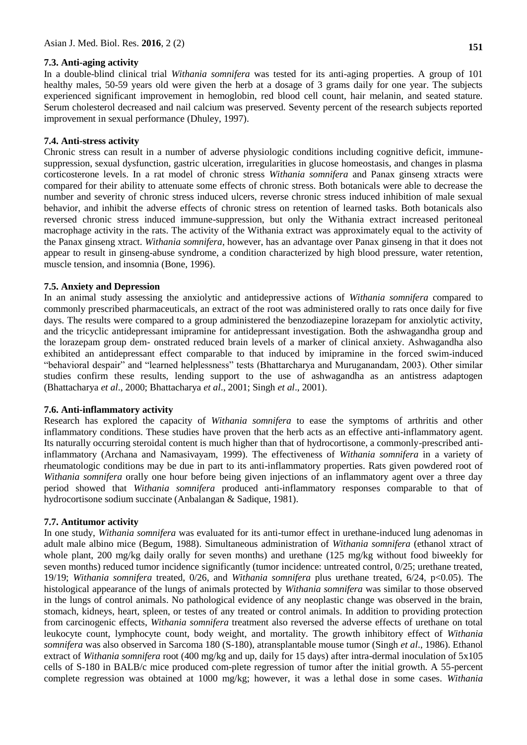# **7.3. Anti-aging activity**

In a double-blind clinical trial *Withania somnifera* was tested for its anti-aging properties. A group of 101 healthy males, 50-59 years old were given the herb at a dosage of 3 grams daily for one year. The subjects experienced significant improvement in hemoglobin, red blood cell count, hair melanin, and seated stature. Serum cholesterol decreased and nail calcium was preserved. Seventy percent of the research subjects reported improvement in sexual performance (Dhuley, 1997).

## **7.4. Anti-stress activity**

Chronic stress can result in a number of adverse physiologic conditions including cognitive deficit, immunesuppression, sexual dysfunction, gastric ulceration, irregularities in glucose homeostasis, and changes in plasma corticosterone levels. In a rat model of chronic stress *Withania somnifera* and Panax ginseng xtracts were compared for their ability to attenuate some effects of chronic stress. Both botanicals were able to decrease the number and severity of chronic stress induced ulcers, reverse chronic stress induced inhibition of male sexual behavior, and inhibit the adverse effects of chronic stress on retention of learned tasks. Both botanicals also reversed chronic stress induced immune-suppression, but only the Withania extract increased peritoneal macrophage activity in the rats. The activity of the Withania extract was approximately equal to the activity of the Panax ginseng xtract. *Withania somnifera*, however, has an advantage over Panax ginseng in that it does not appear to result in ginseng-abuse syndrome, a condition characterized by high blood pressure, water retention, muscle tension, and insomnia (Bone, 1996).

## **7.5. Anxiety and Depression**

In an animal study assessing the anxiolytic and antidepressive actions of *Withania somnifera* compared to commonly prescribed pharmaceuticals, an extract of the root was administered orally to rats once daily for five days. The results were compared to a group administered the benzodiazepine lorazepam for anxiolytic activity, and the tricyclic antidepressant imipramine for antidepressant investigation. Both the ashwagandha group and the lorazepam group dem- onstrated reduced brain levels of a marker of clinical anxiety. Ashwagandha also exhibited an antidepressant effect comparable to that induced by imipramine in the forced swim-induced "behavioral despair" and "learned helplessness" tests (Bhattarcharya and Muruganandam, 2003). Other similar studies confirm these results, lending support to the use of ashwagandha as an antistress adaptogen (Bhattacharya *et al*., 2000; Bhattacharya *et al*., 2001; Singh *et al*., 2001).

### **7.6. Anti-inflammatory activity**

Research has explored the capacity of *Withania somnifera* to ease the symptoms of arthritis and other inflammatory conditions. These studies have proven that the herb acts as an effective anti-inflammatory agent. Its naturally occurring steroidal content is much higher than that of hydrocortisone, a commonly-prescribed antiinflammatory (Archana and Namasivayam, 1999). The effectiveness of *Withania somnifera* in a variety of rheumatologic conditions may be due in part to its anti-inflammatory properties. Rats given powdered root of *Withania somnifera* orally one hour before being given injections of an inflammatory agent over a three day period showed that *Withania somnifera* produced anti-inflammatory responses comparable to that of hydrocortisone sodium succinate (Anbalangan & Sadique, 1981).

### **7.7. Antitumor activity**

In one study, *Withania somnifera* was evaluated for its anti-tumor effect in urethane-induced lung adenomas in adult male albino mice (Begum, 1988). Simultaneous administration of *Withania somnifera* (ethanol xtract of whole plant, 200 mg/kg daily orally for seven months) and urethane (125 mg/kg without food biweekly for seven months) reduced tumor incidence significantly (tumor incidence: untreated control, 0/25; urethane treated, 19/19; *Withania somnifera* treated, 0/26, and *Withania somnifera* plus urethane treated, 6/24, p<0.05). The histological appearance of the lungs of animals protected by *Withania somnifera* was similar to those observed in the lungs of control animals. No pathological evidence of any neoplastic change was observed in the brain, stomach, kidneys, heart, spleen, or testes of any treated or control animals. In addition to providing protection from carcinogenic effects, *Withania somnifera* treatment also reversed the adverse effects of urethane on total leukocyte count, lymphocyte count, body weight, and mortality. The growth inhibitory effect of *Withania somnifera* was also observed in Sarcoma 180 (S-180), atransplantable mouse tumor (Singh *et al*., 1986). Ethanol extract of *Withania somnifera* root (400 mg/kg and up, daily for 15 days) after intra-dermal inoculation of 5x105 cells of S-180 in BALB/c mice produced com-plete regression of tumor after the initial growth. A 55-percent complete regression was obtained at 1000 mg/kg; however, it was a lethal dose in some cases. *Withania*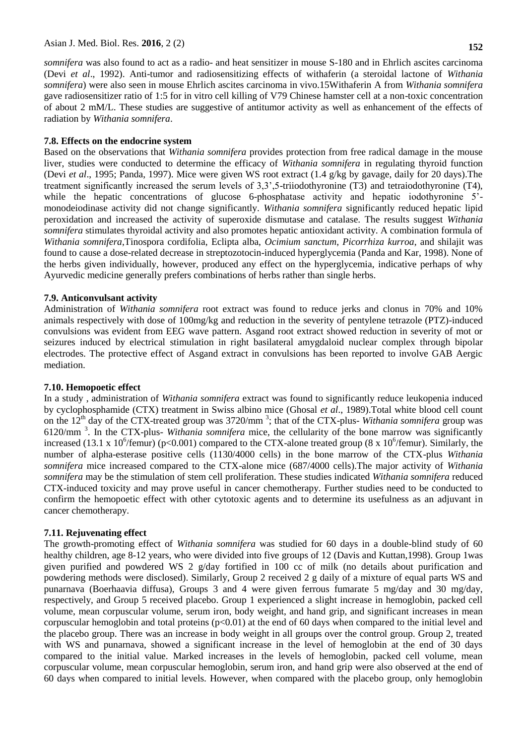# Asian J. Med. Biol. Res. **2016**, 2 (2) **152**

*somnifera* was also found to act as a radio- and heat sensitizer in mouse S-180 and in Ehrlich ascites carcinoma (Devi *et al*., 1992). Anti-tumor and radiosensitizing effects of withaferin (a steroidal lactone of *Withania somnifera*) were also seen in mouse Ehrlich ascites carcinoma in vivo.15Withaferin A from *Withania somnifera* gave radiosensitizer ratio of 1:5 for in vitro cell killing of V79 Chinese hamster cell at a non-toxic concentration of about 2 mM/L. These studies are suggestive of antitumor activity as well as enhancement of the effects of radiation by *Withania somnifera*.

## **7.8. Effects on the endocrine system**

Based on the observations that *Withania somnifera* provides protection from free radical damage in the mouse liver, studies were conducted to determine the efficacy of *Withania somnifera* in regulating thyroid function (Devi *et al*., 1995; Panda, 1997). Mice were given WS root extract (1.4 g/kg by gavage, daily for 20 days).The treatment significantly increased the serum levels of 3,3',5-triiodothyronine (T3) and tetraiodothyronine (T4), while the hepatic concentrations of glucose 6-phosphatase activity and hepatic iodothyronine 5' monodeiodinase activity did not change significantly. *Withania somnifera* significantly reduced hepatic lipid peroxidation and increased the activity of superoxide dismutase and catalase. The results suggest *Withania somnifera* stimulates thyroidal activity and also promotes hepatic antioxidant activity. A combination formula of *Withania somnifera*,Tinospora cordifolia, Eclipta alba, *Ocimium sanctum*, *Picorrhiza kurroa*, and shilajit was found to cause a dose-related decrease in streptozotocin-induced hyperglycemia (Panda and Kar, 1998). None of the herbs given individually, however, produced any effect on the hyperglycemia, indicative perhaps of why Ayurvedic medicine generally prefers combinations of herbs rather than single herbs.

## **7.9. Anticonvulsant activity**

Administration of *Withania somnifera* root extract was found to reduce jerks and clonus in 70% and 10% animals respectively with dose of 100mg/kg and reduction in the severity of pentylene tetrazole (PTZ)-induced convulsions was evident from EEG wave pattern. Asgand root extract showed reduction in severity of mot or seizures induced by electrical stimulation in right basilateral amygdaloid nuclear complex through bipolar electrodes. The protective effect of Asgand extract in convulsions has been reported to involve GAB Aergic mediation.

# **7.10. Hemopoetic effect**

In a study , administration of *Withania somnifera* extract was found to significantly reduce leukopenia induced by cyclophosphamide (CTX) treatment in Swiss albino mice (Ghosal *et al*., 1989).Total white blood cell count on the 12<sup>th</sup> day of the CTX-treated group was 3720/mm<sup>3</sup>; that of the CTX-plus- *Withania somnifera* group was 6120/mm <sup>3</sup> . In the CTX-plus- *Withania somnifera* mice, the cellularity of the bone marrow was significantly increased (13.1 x 10<sup>6</sup>/femur) ( $p$ <0.001) compared to the CTX-alone treated group (8 x 10<sup>6</sup>/femur). Similarly, the number of alpha-esterase positive cells (1130/4000 cells) in the bone marrow of the CTX-plus *Withania somnifera* mice increased compared to the CTX-alone mice (687/4000 cells).The major activity of *Withania somnifera* may be the stimulation of stem cell proliferation. These studies indicated *Withania somnifera* reduced CTX-induced toxicity and may prove useful in cancer chemotherapy. Further studies need to be conducted to confirm the hemopoetic effect with other cytotoxic agents and to determine its usefulness as an adjuvant in cancer chemotherapy.

# **7.11. Rejuvenating effect**

The growth-promoting effect of *Withania somnifera* was studied for 60 days in a double-blind study of 60 healthy children, age 8-12 years, who were divided into five groups of 12 (Davis and Kuttan,1998). Group 1was given purified and powdered WS 2 g/day fortified in 100 cc of milk (no details about purification and powdering methods were disclosed). Similarly, Group 2 received 2 g daily of a mixture of equal parts WS and punarnava (Boerhaavia diffusa), Groups 3 and 4 were given ferrous fumarate 5 mg/day and 30 mg/day, respectively, and Group 5 received placebo. Group 1 experienced a slight increase in hemoglobin, packed cell volume, mean corpuscular volume, serum iron, body weight, and hand grip, and significant increases in mean corpuscular hemoglobin and total proteins  $(p<0.01)$  at the end of 60 days when compared to the initial level and the placebo group. There was an increase in body weight in all groups over the control group. Group 2, treated with WS and punarnava, showed a significant increase in the level of hemoglobin at the end of 30 days compared to the initial value. Marked increases in the levels of hemoglobin, packed cell volume, mean corpuscular volume, mean corpuscular hemoglobin, serum iron, and hand grip were also observed at the end of 60 days when compared to initial levels. However, when compared with the placebo group, only hemoglobin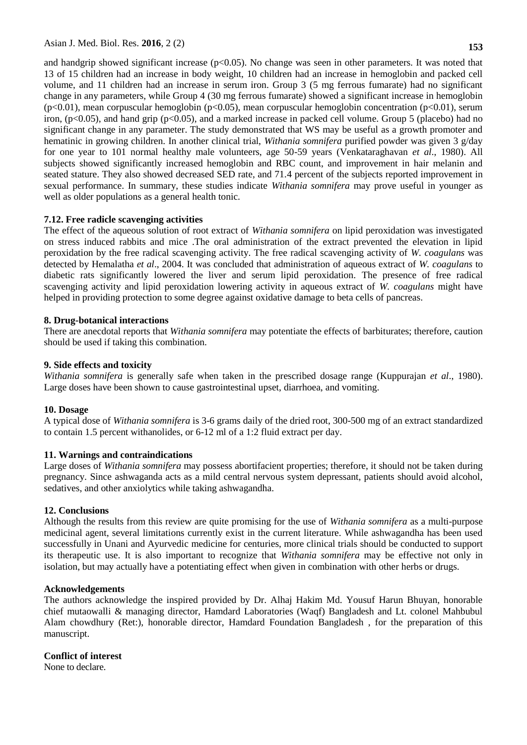and handgrip showed significant increase (p<0.05). No change was seen in other parameters. It was noted that 13 of 15 children had an increase in body weight, 10 children had an increase in hemoglobin and packed cell volume, and 11 children had an increase in serum iron. Group 3 (5 mg ferrous fumarate) had no significant change in any parameters, while Group 4 (30 mg ferrous fumarate) showed a significant increase in hemoglobin (p<0.01), mean corpuscular hemoglobin (p<0.05), mean corpuscular hemoglobin concentration (p<0.01), serum iron,  $(p<0.05)$ , and hand grip  $(p<0.05)$ , and a marked increase in packed cell volume. Group 5 (placebo) had no significant change in any parameter. The study demonstrated that WS may be useful as a growth promoter and hematinic in growing children. In another clinical trial, *Withania somnifera* purified powder was given 3 g/day for one year to 101 normal healthy male volunteers, age 50-59 years (Venkataraghavan *et al*., 1980). All subjects showed significantly increased hemoglobin and RBC count, and improvement in hair melanin and seated stature. They also showed decreased SED rate, and 71.4 percent of the subjects reported improvement in sexual performance. In summary, these studies indicate *Withania somnifera* may prove useful in younger as well as older populations as a general health tonic.

# **7.12. Free radicle scavenging activities**

The effect of the aqueous solution of root extract of *Withania somnifera* on lipid peroxidation was investigated on stress induced rabbits and mice .The oral administration of the extract prevented the elevation in lipid peroxidation by the free radical scavenging activity. The free radical scavenging activity of *W. coagulans* was detected by Hemalatha *et al*., 2004. It was concluded that administration of aqueous extract of *W. coagulans* to diabetic rats significantly lowered the liver and serum lipid peroxidation. The presence of free radical scavenging activity and lipid peroxidation lowering activity in aqueous extract of *W. coagulans* might have helped in providing protection to some degree against oxidative damage to beta cells of pancreas.

# **8. Drug-botanical interactions**

There are anecdotal reports that *Withania somnifera* may potentiate the effects of barbiturates; therefore, caution should be used if taking this combination.

# **9. Side effects and toxicity**

*Withania somnifera* is generally safe when taken in the prescribed dosage range (Kuppurajan *et al*., 1980). Large doses have been shown to cause gastrointestinal upset, diarrhoea, and vomiting.

# **10. Dosage**

A typical dose of *Withania somnifera* is 3-6 grams daily of the dried root, 300-500 mg of an extract standardized to contain 1.5 percent withanolides, or 6-12 ml of a 1:2 fluid extract per day.

# **11. Warnings and contraindications**

Large doses of *Withania somnifera* may possess abortifacient properties; therefore, it should not be taken during pregnancy. Since ashwaganda acts as a mild central nervous system depressant, patients should avoid alcohol, sedatives, and other anxiolytics while taking ashwagandha.

# **12. Conclusions**

Although the results from this review are quite promising for the use of *Withania somnifera* as a multi-purpose medicinal agent, several limitations currently exist in the current literature. While ashwagandha has been used successfully in Unani and Ayurvedic medicine for centuries, more clinical trials should be conducted to support its therapeutic use. It is also important to recognize that *Withania somnifera* may be effective not only in isolation, but may actually have a potentiating effect when given in combination with other herbs or drugs.

# **Acknowledgements**

The authors acknowledge the inspired provided by Dr. Alhaj Hakim Md. Yousuf Harun Bhuyan, honorable chief mutaowalli & managing director, Hamdard Laboratories (Waqf) Bangladesh and Lt. colonel Mahbubul Alam chowdhury (Ret:), honorable director, Hamdard Foundation Bangladesh , for the preparation of this manuscript.

# **Conflict of interest**

None to declare.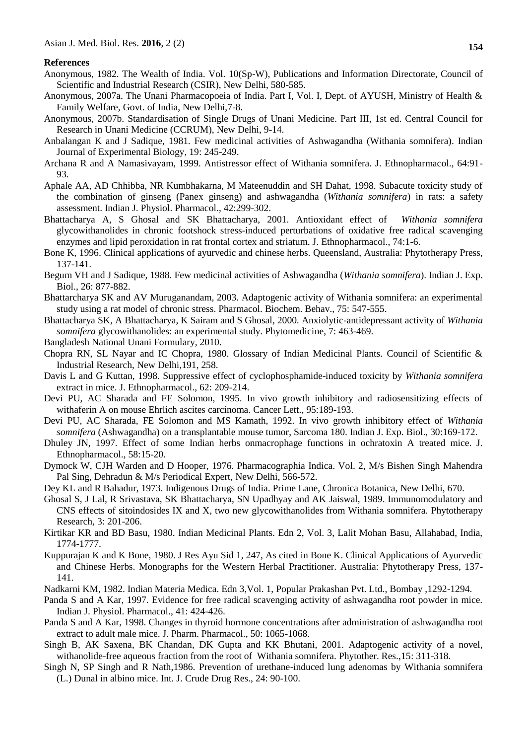### **References**

- Anonymous, 1982. The Wealth of India. Vol. 10(Sp-W), Publications and Information Directorate, Council of Scientific and Industrial Research (CSIR), New Delhi, 580-585.
- Anonymous, 2007a. The Unani Pharmacopoeia of India. Part I, Vol. I, Dept. of AYUSH, Ministry of Health & Family Welfare, Govt. of India, New Delhi,7-8.
- Anonymous, 2007b. Standardisation of Single Drugs of Unani Medicine. Part III, 1st ed. Central Council for Research in Unani Medicine (CCRUM), New Delhi, 9-14.
- Anbalangan K and J Sadique, 1981. Few medicinal activities of Ashwagandha (Withania somnifera). Indian Journal of Experimental Biology, 19: 245-249.
- Archana R and A Namasivayam, 1999. Antistressor effect of Withania somnifera. J. Ethnopharmacol., 64:91- 93.
- Aphale AA, AD Chhibba, NR Kumbhakarna, M Mateenuddin and SH Dahat, 1998. Subacute toxicity study of the combination of ginseng (Panex ginseng) and ashwagandha (*Withania somnifera*) in rats: a safety assessment. Indian J. Physiol. Pharmacol., 42:299-302.
- Bhattacharya A, S Ghosal and SK Bhattacharya, 2001. Antioxidant effect of *Withania somnifera* glycowithanolides in chronic footshock stress-induced perturbations of oxidative free radical scavenging enzymes and lipid peroxidation in rat frontal cortex and striatum. J. Ethnopharmacol., 74:1-6.
- Bone K, 1996. Clinical applications of ayurvedic and chinese herbs. Queensland, Australia: Phytotherapy Press, 137-141.
- Begum VH and J Sadique, 1988. Few medicinal activities of Ashwagandha (*Withania somnifera*). Indian J. Exp. Biol., 26: 877-882.
- Bhattarcharya SK and AV Muruganandam, 2003. Adaptogenic activity of Withania somnifera: an experimental study using a rat model of chronic stress. Pharmacol. Biochem. Behav., 75: 547-555.
- Bhattacharya SK, A Bhattacharya, K Sairam and S Ghosal, 2000. Anxiolytic-antidepressant activity of *Withania somnifera* glycowithanolides: an experimental study. Phytomedicine, 7: 463-469.
- Bangladesh National Unani Formulary, 2010.
- Chopra RN, SL Nayar and IC Chopra, 1980. Glossary of Indian Medicinal Plants. Council of Scientific & Industrial Research, New Delhi,191, 258.
- Davis L and G Kuttan, 1998. Suppressive effect of cyclophosphamide-induced toxicity by *Withania somnifera* extract in mice. J. Ethnopharmacol., 62: 209-214.
- Devi PU, AC Sharada and FE Solomon, 1995. In vivo growth inhibitory and radiosensitizing effects of withaferin A on mouse Ehrlich ascites carcinoma. Cancer Lett., 95:189-193.
- Devi PU, AC Sharada, FE Solomon and MS Kamath, 1992. In vivo growth inhibitory effect of *Withania somnifera* (Ashwagandha) on a transplantable mouse tumor, Sarcoma 180. Indian J. Exp. Biol., 30:169-172.
- Dhuley JN, 1997. Effect of some Indian herbs onmacrophage functions in ochratoxin A treated mice. J. Ethnopharmacol., 58:15-20.
- Dymock W, CJH Warden and D Hooper, 1976. Pharmacographia Indica. Vol. 2, M/s Bishen Singh Mahendra Pal Sing, Dehradun & M/s Periodical Expert, New Delhi, 566-572.
- Dey KL and R Bahadur, 1973. Indigenous Drugs of India. Prime Lane, Chronica Botanica, New Delhi, 670.
- Ghosal S, J Lal, R Srivastava, SK Bhattacharya, SN Upadhyay and AK Jaiswal, 1989. Immunomodulatory and CNS effects of sitoindosides IX and X, two new glycowithanolides from Withania somnifera. Phytotherapy Research, 3: 201-206.
- Kirtikar KR and BD Basu, 1980. Indian Medicinal Plants. Edn 2, Vol. 3, Lalit Mohan Basu, Allahabad, India, 1774-1777.
- Kuppurajan K and K Bone, 1980. J Res Ayu Sid 1, 247, As cited in Bone K. Clinical Applications of Ayurvedic and Chinese Herbs. Monographs for the Western Herbal Practitioner. Australia: Phytotherapy Press, 137- 141.
- Nadkarni KM, 1982. Indian Materia Medica. Edn 3,Vol. 1, Popular Prakashan Pvt. Ltd., Bombay ,1292-1294.
- Panda S and A Kar, 1997. Evidence for free radical scavenging activity of ashwagandha root powder in mice. Indian J. Physiol. Pharmacol., 41: 424-426.
- Panda S and A Kar, 1998. Changes in thyroid hormone concentrations after administration of ashwagandha root extract to adult male mice. J. Pharm. Pharmacol., 50: 1065-1068.
- Singh B, AK Saxena, BK Chandan, DK Gupta and KK Bhutani, 2001. Adaptogenic activity of a novel, withanolide-free aqueous fraction from the root of Withania somnifera. Phytother. Res.,15: 311-318.
- Singh N, SP Singh and R Nath,1986. Prevention of urethane-induced lung adenomas by Withania somnifera (L.) Dunal in albino mice. Int. J. Crude Drug Res., 24: 90-100.